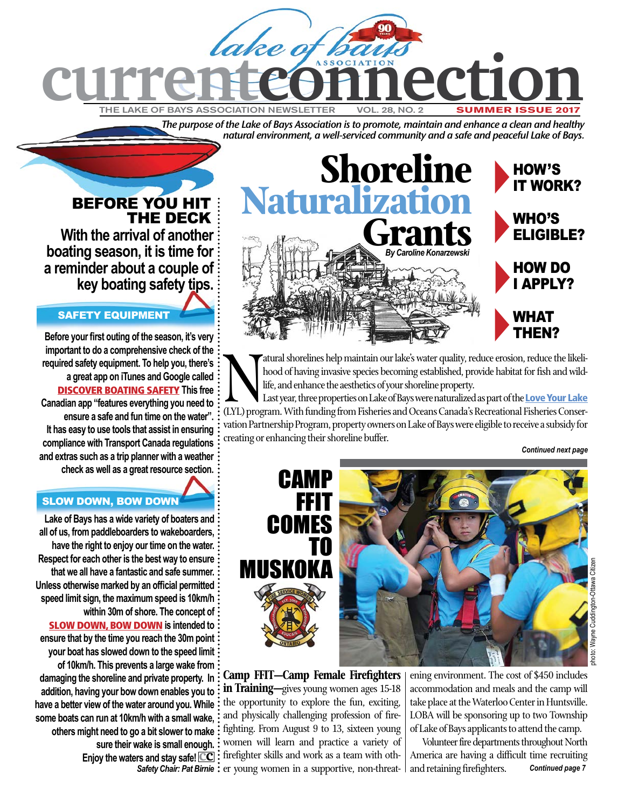

*The purpose of the Lake of Bays Association is to promote, maintain and enhance a clean and healthy natural environment, a well-serviced community and a safe and peaceful Lake of Bays.*

## BEFORE YOU HIT THE DECK

**With the arrival of another boating season, it is time for a reminder about a couple of key boating safety tips.** 

### SAFETY EQUIPMENT

**Before your first outing of the season, it's very important to do a comprehensive check of the required safety equipment. To help you, there's a great app on iTunes and Google called** [DISCOVER BOATING SAFETY](http://www.discoverboating.ca/safe-boating-app.aspx) **This free Canadian app "features everything you need to ensure a safe and fun time on the water". It has easy to use tools that assist in ensuring compliance with Transport Canada regulations and extras such as a trip planner with a weather check as well as a great resource section.**

### SLOW DOWN, BOW DOWN

**Lake of Bays has a wide variety of boaters and all of us, from paddleboarders to wakeboarders, have the right to enjoy our time on the water. Respect for each other is the best way to ensure that we all have a fantastic and safe summer. Unless otherwise marked by an official permitted speed limit sign, the maximum speed is 10km/h within 30m of shore. The concept of** [SLOW DOWN, BOW DOWN](http://boaterskills.ca/slow-down-bow-down-2/) **is intended to ensure that by the time you reach the 30m point your boat has slowed down to the speed limit of 10km/h. This prevents a large wake from damaging the shoreline and private property. In addition, having your bow down enables you to have a better view of the water around you. While some boats can run at 10km/h with a small wake, others might need to go a bit slower to make sure their wake is small enough. Enjoy the waters and stay safe! cc**



Matural shorelines help maintain our lake's water quality, reduce erosion, reduce the likelihood of having invasive species becoming established, provide habitat for fish and wild-<br>life, and enhance the aesthetics of your hood of having invasive species becoming established, provide habitat for fish and wildlife, and enhance the aesthetics of your shoreline property.

Last year, three properties on Lake of Bays were naturalized as part of the Love Your Lake vation Partnership Program, property owners on Lake of Bays were eligible to receive a subsidy for creating or enhancing their shoreline buffer.

*Continued next page*



**Camp FFIT—Camp Female Firefighters in Training—**gives young women ages 15-18 the opportunity to explore the fun, exciting, and physically challenging profession of firefighting. From August 9 to 13, sixteen young women will learn and practice a variety of firefighter skills and work as a team with oth-Safety Chair: Pat Birnie: er young women in a supportive, non-threatening environment. The cost of \$450 includes accommodation and meals and the camp will take place at the Waterloo Center in Huntsville. LOBA will be sponsoring up to two Township of Lake of Bays applicants to attend the camp.

Volunteer fire departments throughout North America are having a difficult time recruiting and retaining firefighters. *Continued page 7*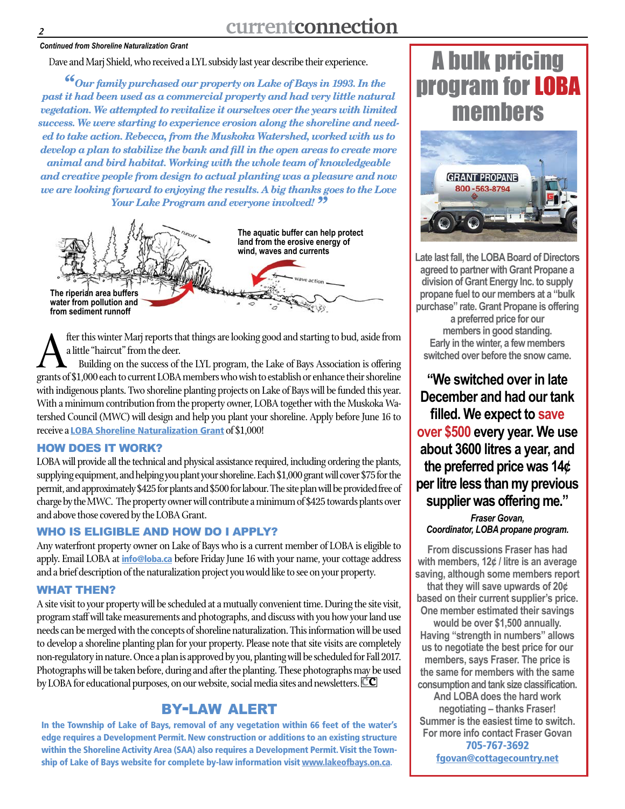#### *Continued from Shoreline Naturalization Grant*

#### Dave and Marj Shield, who received a LYL subsidy last year describe their experience.

*"Our family purchased our property on Lake of Bays in 1993. In the past it had been used as a commercial property and had very little natural vegetation. We attempted to revitalize it ourselves over the years with limited success. We were starting to experience erosion along the shoreline and needed to take action. Rebecca, from the Muskoka Watershed, worked with us to develop a plan to stabilize the bank and fill in the open areas to create more animal and bird habitat. Working with the whole team of knowledgeable and creative people from design to actual planting was a pleasure and now we are looking forward to enjoying the results. A big thanks goes to the Love Your Lake Program and everyone involved! "*



fter this winter Marj reports that things are looking good and starting to bud, aside from a little "haircut" from the deer.

Building on the success of the LYL program, the Lake of Bays Association is offering grants of \$1,000 each to current LOBA members who wish to establish or enhance their shoreline with indigenous plants. Two shoreline planting projects on Lake of Bays will be funded this year. With a minimum contribution from the property owner, LOBA together with the Muskoka Watershed Council (MWC) will design and help you plant your shoreline. Apply before June 16 to receive a [LOBA Shoreline Naturalization Grant](http://loba.ca/wp-content/uploads/2017/05/2017-LOBA-Shoreline-Naturalization-Grants.pdf) of \$1,000!

#### HOW DOES IT WORK?

LOBA will provide all the technical and physical assistance required, including ordering the plants, supplying equipment, and helping you plant your shoreline. Each \$1,000 grant will cover \$75 for the permit, and approximately \$425 for plants and \$500 for labour. The site plan will be provided free of charge by the MWC. The property owner will contribute a minimum of \$425 towards plants over and above those covered by the LOBA Grant.

### WHO IS ELIGIBLE AND HOW DO I APPLY?

Any waterfront property owner on Lake of Bays who is a current member of LOBA is eligible to apply. Email LOBA at *[info@loba.ca](mailto:info%40loba.ca?subject=)* before Friday June 16 with your name, your cottage address and a brief description of the naturalization project you would like to see on your property.

#### WHAT THEN?

A site visit to your property will be scheduled at a mutually convenient time. During the site visit, program staff will take measurements and photographs, and discuss with you how your land use needs can be merged with the concepts of shoreline naturalization. This information will be used to develop a shoreline planting plan for your property. Please note that site visits are completely non-regulatory in nature. Once a plan is approved by you, planting will be scheduled for Fall 2017. Photographs will be taken before, during and after the planting. These photographs may be used by LOBA for educational purposes, on our website, social media sites and newsletters. **cc**

## by-law alert

In the Township of Lake of Bays, removal of any vegetation within 66 feet of the water's edge requires a Development Permit. New construction or additions to an existing structure within the Shoreline Activity Area (SAA) also requires a Development Permit. Visit the Township of Lake of Bays website for complete by-law information visit [www.lakeofbays.on.ca](http://www.lakeofbays.on.ca/content/bylaw-enforcement)**.**

# A bulk pricing program for LOBA members



**Late last fall, the LOBA Board of Directors agreed to partner with Grant Propane a division of Grant Energy Inc. to supply propane fuel to our members at a "bulk purchase" rate. Grant Propane is offering a preferred price for our members in good standing. Early in the winter, a few members switched over before the snow came.** 

**"We switched over in late December and had our tank filled. We expect to save over \$500 every year. We use about 3600 litres a year, and the preferred price was 14¢ per litre less than my previous supplier was offering me."**

*Fraser Govan, Coordinator, LOBA propane program.*

**From discussions Fraser has had with members, 12¢ / litre is an average saving, although some members report** 

**that they will save upwards of 20¢ based on their current supplier's price. One member estimated their savings** 

**would be over \$1,500 annually. Having "strength in numbers" allows us to negotiate the best price for our members, says Fraser. The price is the same for members with the same consumption and tank size classification.** 

**And LOBA does the hard work negotiating – thanks Fraser! Summer is the easiest time to switch. For more info contact Fraser Govan**  705-767-3692 [fgovan@cottagecountry.net](mailto:fgovan%40cottagecountry.net?subject=)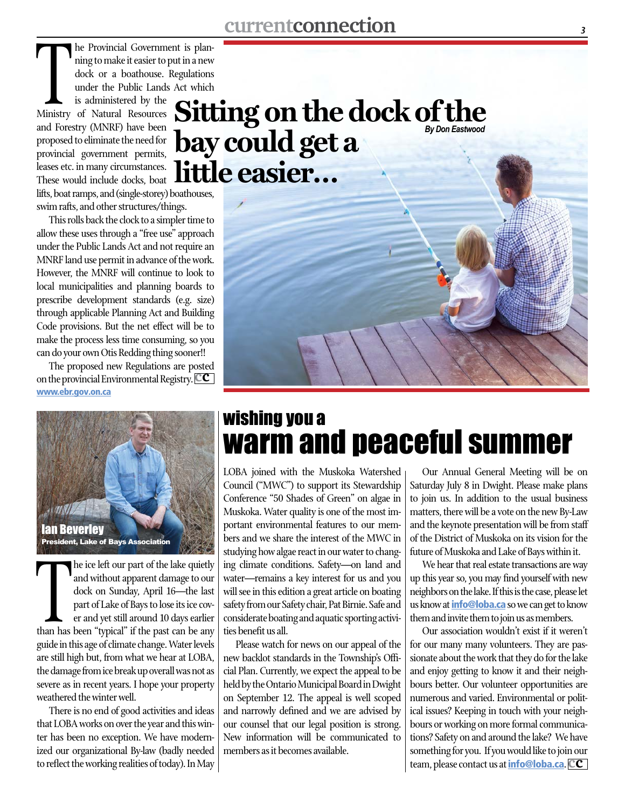The Fromman Sovernman<br>
ning to make it easier to j<br>
dock or a boathouse.<br>
under the Public Lands<br>
is administered by the<br>
Ministry of Natural Resources he Provincial Government is planning to make it easier to put in a new dock or a boathouse. Regulations under the Public Lands Act which is administered by the and Forestry (MNRF) have been proposed to eliminate the need for provincial government permits, leases etc. in many circumstances. These would include docks, boat lifts, boat ramps, and (single-storey) boathouses, swim rafts, and other structures/things.

This rolls back the clock to a simpler time to allow these uses through a "free use" approach under the Public Lands Act and not require an MNRF land use permit in advance of the work. However, the MNRF will continue to look to local municipalities and planning boards to prescribe development standards (e.g. size) through applicable Planning Act and Building Code provisions. But the net effect will be to make the process less time consuming, so you can do your own Otis Redding thing sooner!!

The proposed new Regulations are posted on the provincial Environmental Registry.**cc** [www.ebr.gov.on.ca](https://www.ebr.gov.on.ca/ERS-WEB-External/displaynoticecontent.do?noticeId=MTMyMjYy&statusId=MjAwNzgw&language=en)



The text of part of the land quicup<br>and without apparent damage to our<br>dock on Sunday, April 16—the last<br>part of Lake of Bays to lose its ice cov-<br>er and yet still around 10 days earlier<br>than has been "typical" if the past he ice left our part of the lake quietly and without apparent damage to our dock on Sunday, April 16—the last part of Lake of Bays to lose its ice cover and yet still around 10 days earlier guide in this age of climate change. Water levels are still high but, from what we hear at LOBA, the damage from ice break up overall was not as severe as in recent years. I hope your property weathered the winter well.

There is no end of good activities and ideas that LOBA works on over the year and this winter has been no exception. We have modernized our organizational By-law (badly needed to reflect the working realities of today). In May

# **Sitting on the dock of the bay could get a little easier…** *By Don Eastwood*



# wishing you a warm and peaceful summer

LOBA joined with the Muskoka Watershed Council ("MWC") to support its Stewardship Conference "50 Shades of Green" on algae in Muskoka. Water quality is one of the most important environmental features to our members and we share the interest of the MWC in studying how algae react in our water to changing climate conditions. Safety—on land and water—remains a key interest for us and you will see in this edition a great article on boating safety from our Safety chair, Pat Birnie. Safe and considerate boating and aquatic sporting activities benefit us all.

Please watch for news on our appeal of the new backlot standards in the Township's Official Plan. Currently, we expect the appeal to be held by the Ontario Municipal Board in Dwight on September 12. The appeal is well scoped and narrowly defined and we are advised by our counsel that our legal position is strong. New information will be communicated to members as it becomes available.

Our Annual General Meeting will be on Saturday July 8 in Dwight. Please make plans to join us. In addition to the usual business matters, there will be a vote on the new By-Law and the keynote presentation will be from staff of the District of Muskoka on its vision for the future of Muskoka and Lake of Bays within it.

We hear that real estate transactions are way up this year so, you may find yourself with new neighbors on the lake. If this is the case, please let us know at *[info@loba.ca](mailto:info%40loba.ca?subject=)* so we can get to know them and invite them to join us as members.

Our association wouldn't exist if it weren't for our many many volunteers. They are passionate about the work that they do for the lake and enjoy getting to know it and their neighbours better. Our volunteer opportunities are numerous and varied. Environmental or political issues? Keeping in touch with your neighbours or working on more formal communications? Safety on and around the lake? We have something for you. If you would like to join our team, please contact us at [info@loba.ca](mailto:info%40loba.ca?subject=).**cc**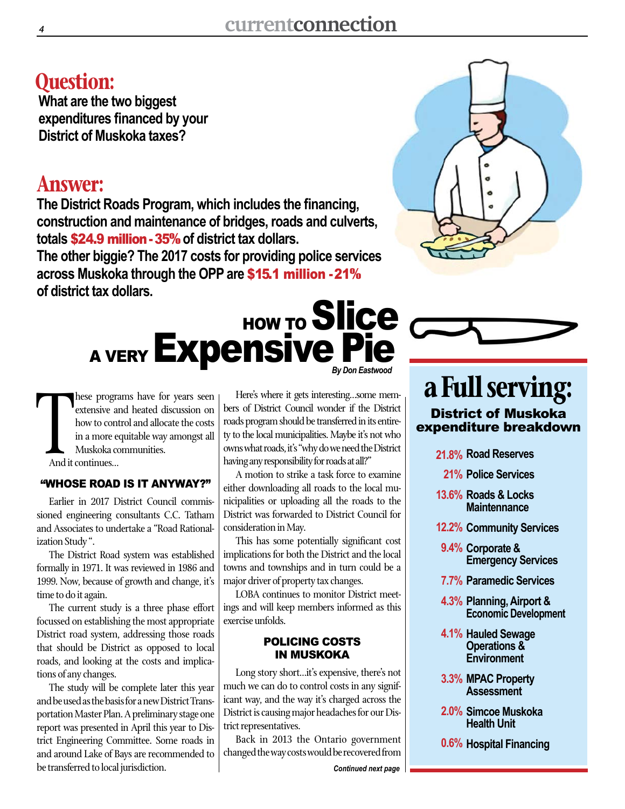## **Question:**

**What are the two biggest expenditures financed by your District of Muskoka taxes?**

## **Answer:**

**The District Roads Program, which includes the financing, construction and maintenance of bridges, roads and culverts, totals** \$24.9 million-35% **of district tax dollars.**

**The other biggie? The 2017 costs for providing police services across Muskoka through the OPP are** \$15.1 million -21% **of district tax dollars.**

# *By Don Eastwood* HOW TO Slice A VERY **Expensive Pie**



#### And it hese programs have for years seen extensive and heated discussion on how to control and allocate the costs in a more equitable way amongst all Muskoka communities. And it continues…

### "WHOSE ROAD IS IT ANYWAY?"

Earlier in 2017 District Council commissioned engineering consultants C.C. Tatham and Associates to undertake a "Road Rationalization Study ".

The District Road system was established formally in 1971. It was reviewed in 1986 and 1999. Now, because of growth and change, it's time to do it again.

The current study is a three phase effort focussed on establishing the most appropriate District road system, addressing those roads that should be District as opposed to local roads, and looking at the costs and implications of any changes.

The study will be complete later this year and be used as the basis for a new District Transportation Master Plan. A preliminary stage one report was presented in April this year to District Engineering Committee. Some roads in and around Lake of Bays are recommended to be transferred to local jurisdiction.

Here's where it gets interesting…some members of District Council wonder if the District roads program should be transferred in its entirety to the local municipalities. Maybe it's not who owns what roads, it's "why do we need the District having any responsibility for roads at all?"

A motion to strike a task force to examine either downloading all roads to the local municipalities or uploading all the roads to the District was forwarded to District Council for consideration in May.

This has some potentially significant cost implications for both the District and the local towns and townships and in turn could be a major driver of property tax changes.

LOBA continues to monitor District meetings and will keep members informed as this exercise unfolds.

#### POLICING COSTS IN MUSKOKA

Long story short…it's expensive, there's not much we can do to control costs in any significant way, and the way it's charged across the District is causing major headaches for our District representatives.

Back in 2013 the Ontario government changed the way costs would be recovered from

## **a Full serving:** District of Muskoka expenditure breakdown

**Road Reserves 21.8%**

**Police Services 21%**

- **Roads & Locks 13.6% Maintennance**
- **Community Services 12.2%**
- **Corporate & 9.4% Emergency Services**
- **Paramedic Services 7.7%**
- **Planning, Airport & 4.3% Economic Development**
- **Hauled Sewage 4.1% Operations & Environment**
- **MPAC Property 3.3% Assessment**
- **Simcoe Muskoka 2.0% Health Unit**
- **Hospital Financing 0.6%**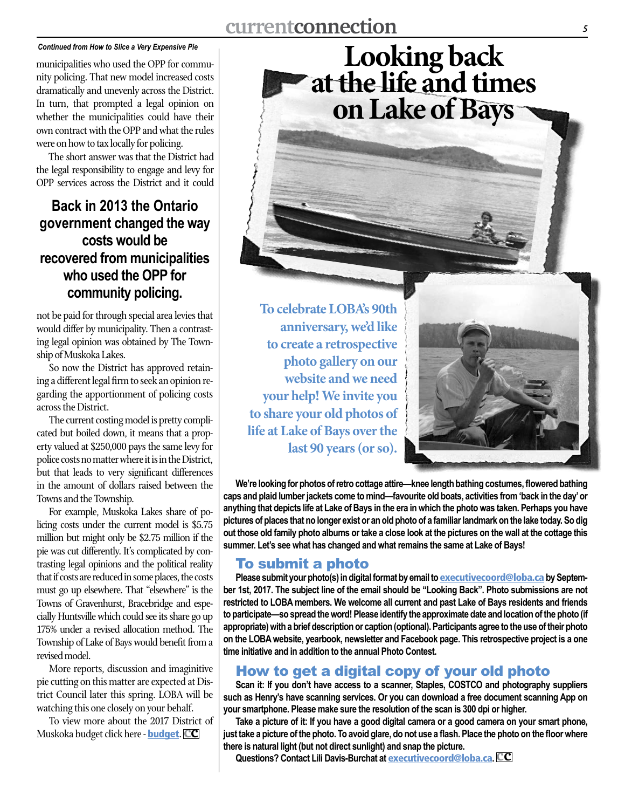#### *Continued from How to Slice a Very Expensive Pie*

municipalities who used the OPP for community policing. That new model increased costs dramatically and unevenly across the District. In turn, that prompted a legal opinion on whether the municipalities could have their own contract with the OPP and what the rules were on how to tax locally for policing.

The short answer was that the District had the legal responsibility to engage and levy for OPP services across the District and it could

## **Back in 2013 the Ontario government changed the way costs would be recovered from municipalities who used the OPP for community policing.**

not be paid for through special area levies that would differ by municipality. Then a contrasting legal opinion was obtained by The Township of Muskoka Lakes.

So now the District has approved retaining a different legal firm to seek an opinion regarding the apportionment of policing costs across the District.

The current costing model is pretty complicated but boiled down, it means that a property valued at \$250,000 pays the same levy for police costs no matter where it is in the District, but that leads to very significant differences in the amount of dollars raised between the Towns and the Township.

For example, Muskoka Lakes share of policing costs under the current model is \$5.75 million but might only be \$2.75 million if the pie was cut differently. It's complicated by contrasting legal opinions and the political reality that if costs are reduced in some places, the costs must go up elsewhere. That "elsewhere" is the Towns of Gravenhurst, Bracebridge and especially Huntsville which could see its share go up 175% under a revised allocation method. The Township of Lake of Bays would benefit from a revised model.

More reports, discussion and imaginitive pie cutting on this matter are expected at District Council later this spring. LOBA will be watching this one closely on your behalf.

To view more about the 2017 District of Muskoka budget click here - [budget](https://www.muskoka.on.ca/en/district-government/resources/resources/Budget-at-a-Glance-2017---Final.pdf). **cc**

**To celebrate LOBA's 90th anniversary, we'd like to create a retrospective photo gallery on our website and we need your help! We invite you to share your old photos of life at Lake of Bays over the last 90 years (or so).**



**We're looking for photos of retro cottage attire—knee length bathing costumes, flowered bathing caps and plaid lumber jackets come to mind—favourite old boats, activities from 'back in the day' or anything that depicts life at Lake of Bays in the era in which the photo was taken. Perhaps you have pictures of places that no longer exist or an old photo of a familiar landmark on the lake today. So dig out those old family photo albums or take a close look at the pictures on the wall at the cottage this summer. Let's see what has changed and what remains the same at Lake of Bays!** 

**Looking back at the life and times**

**on Lake of Bays**

### To submit a photo

Please submit your photo(s) in digital format by email to **executive coord@loba.ca** by Septem**ber 1st, 2017. The subject line of the email should be "Looking Back". Photo submissions are not restricted to LOBA members. We welcome all current and past Lake of Bays residents and friends to participate—so spread the word! Please identify the approximate date and location of the photo (if appropriate) with a brief description or caption (optional). Participants agree to the use of their photo on the LOBA website, yearbook, newsletter and Facebook page. This retrospective project is a one time initiative and in addition to the annual Photo Contest.** 

## How to get a digital copy of your old photo

**Scan it: If you don't have access to a scanner, Staples, COSTCO and photography suppliers such as Henry's have scanning services. Or you can download a free document scanning App on your smartphone. Please make sure the resolution of the scan is 300 dpi or higher.** 

**Take a picture of it: If you have a good digital camera or a good camera on your smart phone, just take a picture of the photo. To avoid glare, do not use a flash. Place the photo on the floor where there is natural light (but not direct sunlight) and snap the picture.** 

**Questions? Contact Lili Davis-Burchat at** [executivecoord@loba.ca](mailto:executivecoord%40loba.ca?subject=)**. cc**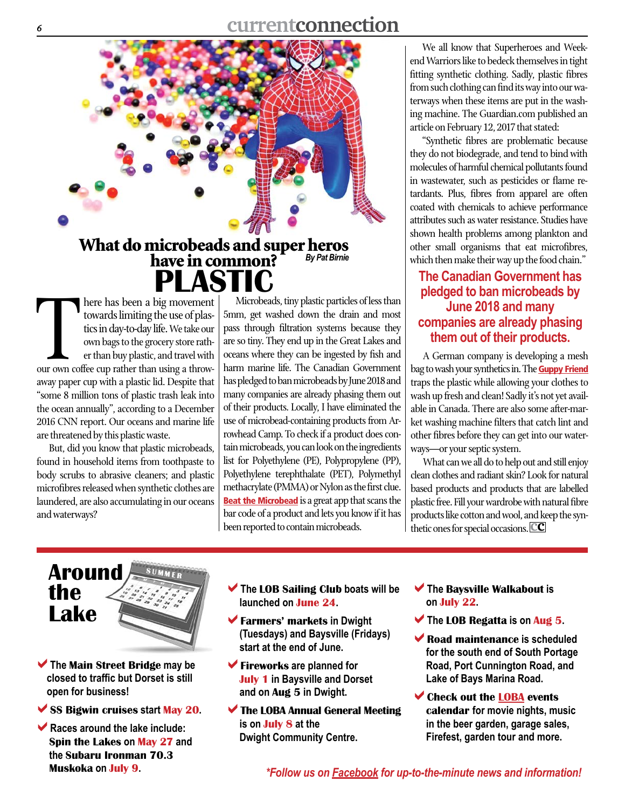

# What do microbeads and super heros<br>have in common? By Pat Birnie  $\mathbf{PS}$ <br>here has been a big movement *By Pat Birnie*

There has been a big movement<br>towards limiting the use of plas-<br>tics in day-to-day life. We take our<br>own bags to the grocery store rath-<br>er than buy plastic, and travel with<br>our own coffee cup rather than using a throwtowards limiting the use of plastics in day-to-day life. We take our own bags to the grocery store rather than buy plastic, and travel with away paper cup with a plastic lid. Despite that "some 8 million tons of plastic trash leak into the ocean annually", according to a December 2016 CNN report. Our oceans and marine life are threatened by this plastic waste.

But, did you know that plastic microbeads, found in household items from toothpaste to body scrubs to abrasive cleaners; and plastic microfibres released when synthetic clothes are laundered, are also accumulating in our oceans and waterways?

Microbeads, tiny plastic particles of less than 5mm, get washed down the drain and most pass through filtration systems because they are so tiny. They end up in the Great Lakes and oceans where they can be ingested by fish and harm marine life. The Canadian Government has pledged to ban microbeads by June 2018 and many companies are already phasing them out of their products. Locally, I have eliminated the use of microbead-containing products from Arrowhead Camp. To check if a product does contain microbeads, you can look on the ingredients list for Polyethylene (PE), Polypropylene (PP), Polyethylene terephthalate (PET), Polymethyl methacrylate (PMMA) or Nylon as the first clue. **[Beat the Microbead](http://get.beatthemicrobead.org/)** is a great app that scans the bar code of a product and lets you know if it has been reported to contain microbeads.

We all know that Superheroes and Weekend Warriors like to bedeck themselves in tight fitting synthetic clothing. Sadly, plastic fibres from such clothing can find its way into our waterways when these items are put in the washing machine. The Guardian.com published an article on February 12, 2017 that stated:

"Synthetic fibres are problematic because they do not biodegrade, and tend to bind with molecules of harmful chemical pollutants found in wastewater, such as pesticides or flame retardants. Plus, fibres from apparel are often coated with chemicals to achieve performance attributes such as water resistance. Studies have shown health problems among plankton and other small organisms that eat microfibres, which then make their way up the food chain."

## **The Canadian Government has pledged to ban microbeads by June 2018 and many companies are already phasing them out of their products.**

A German company is developing a mesh bag to wash your synthetics in. The **[Guppy Friend](http://guppyfriend.com/)** traps the plastic while allowing your clothes to wash up fresh and clean! Sadly it's not yet available in Canada. There are also some after-market washing machine filters that catch lint and other fibres before they can get into our waterways—or your septic system.

What can we all do to help out and still enjoy clean clothes and radiant skin? Look for natural based products and products that are labelled plastic free. Fill your wardrobe with natural fibre products like cotton and wool, and keep the synthetic ones for special occasions. **cc**

Around the Lake

a**The** Main Street Bridge **may be closed to traffic but Dorset is still open for business!**

a**Races around the lake include:** Spin the Lakes **on** May 27 **and the** Subaru Ironman 70.3 Muskoka **on** July 9**.**

- a**The** LOB Sailing Club **boats will be launched on** June 24**.**
- **Farmers' markets in Dwight (Tuesdays) and Baysville (Fridays) start at the end of June.**
- $\blacktriangledown$  **Fireworks are planned for** July 1 **in Baysville and Dorset and on** Aug 5 **in Dwight.**
- $\blacktriangledown$  The LOBA Annual General Meeting **is on** July 8 **at the Dwight Community Centre.**
- a**The** Baysville Walkabout **is on** July 22**.**
- a**The** LOB Regatta **is on** Aug 5**.**
- $\blacktriangleright$  **Road maintenance is scheduled for the south end of South Portage Road, Port Cunnington Road, and Lake of Bays Marina Road.**
- $\blacktriangleright$  Check out the [LOBA](http://loba.ca/events/) events calendar **for movie nights, music in the beer garden, garage sales, Firefest, garden tour and more.**

*\*Follow us on [Facebook](https://www.facebook.com/lobaontario/) for up-to-the-minute news and information!*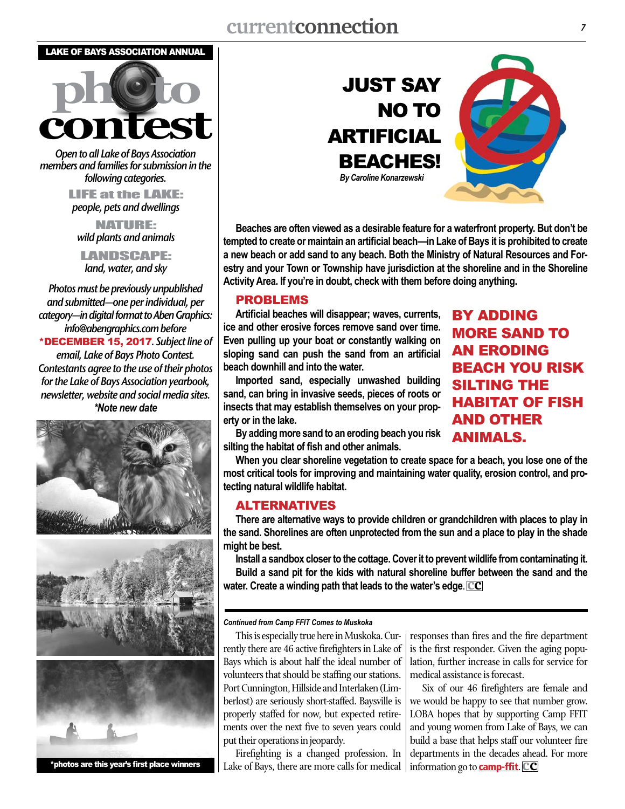#### LAKE OF BAYS ASSOCIATION ANNUAL



*Open to all Lake of Bays Association members and families for submission in the following categories.*

> LIFE at the LAKE: *people, pets and dwellings*

NATURE: *wild plants and animals*

LANDSCAPE: *land, water, and sky*

*Photos must be previously unpublished and submitted—one per individual, per category—in digital format to Aben Graphics: info@abengraphics.combefore* \*DECEMBER 15, 2017*. Subject line of email, Lake of Bays Photo Contest. Contestants agree to the use of their photos for the Lake of Bays Association yearbook, newsletter, website and social media sites. \*Note new date*







\*photos are this year's first place winners



**Beaches are often viewed as a desirable feature for a waterfront property. But don't be tempted to create or maintain an artificial beach—in Lake of Bays it is prohibited to create a new beach or add sand to any beach. Both the Ministry of Natural Resources and Forestry and your Town or Township have jurisdiction at the shoreline and in the Shoreline Activity Area. If you're in doubt, check with them before doing anything.** 

#### PROBLEMS

**Artificial beaches will disappear; waves, currents, ice and other erosive forces remove sand over time. Even pulling up your boat or constantly walking on sloping sand can push the sand from an artificial beach downhill and into the water.** 

**Imported sand, especially unwashed building sand, can bring in invasive seeds, pieces of roots or insects that may establish themselves on your property or in the lake.**

BY ADDING MORE SAND TO AN ERODING BEACH YOU RISK SILTING THE HABITAT OF FISH AND OTHER ANIMALS.

**By adding more sand to an eroding beach you risk silting the habitat of fish and other animals.**

**When you clear shoreline vegetation to create space for a beach, you lose one of the most critical tools for improving and maintaining water quality, erosion control, and protecting natural wildlife habitat.**

### ALTERNATIVES

**There are alternative ways to provide children or grandchildren with places to play in the sand. Shorelines are often unprotected from the sun and a place to play in the shade might be best.** 

**Install a sandbox closer to the cottage. Cover it to prevent wildlife from contaminating it. Build a sand pit for the kids with natural shoreline buffer between the sand and the water. Create a winding path that leads to the water's edge**. **cc**

#### *Continued from Camp FFIT Comes to Muskoka*

This is especially true here in Muskoka. Currently there are 46 active firefighters in Lake of Bays which is about half the ideal number of volunteers that should be staffing our stations. Port Cunnington, Hillside and Interlaken (Limberlost) are seriously short-staffed. Baysville is properly staffed for now, but expected retirements over the next five to seven years could put their operations in jeopardy.

Firefighting is a changed profession. In Lake of Bays, there are more calls for medical responses than fires and the fire department is the first responder. Given the aging population, further increase in calls for service for medical assistance is forecast.

Six of our 46 firefighters are female and we would be happy to see that number grow. LOBA hopes that by supporting Camp FFIT and young women from Lake of Bays, we can build a base that helps staff our volunteer fire departments in the decades ahead. For more information go to **[camp-ffit](http://www.huntsville.ca/en/living/campffit.asp)**. **CC**